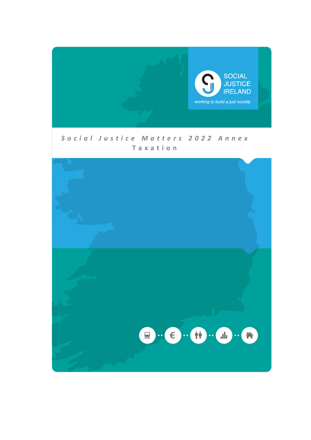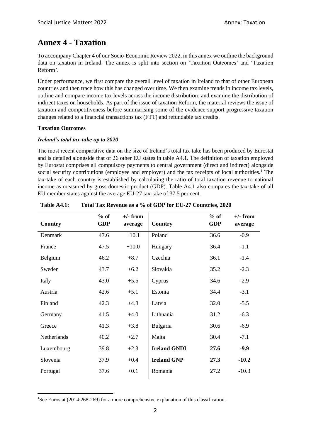# **Annex 4 - Taxation**

To accompany Chapter 4 of our Socio-Economic Review 2022, in this annex we outline the background data on taxation in Ireland. The annex is split into section on 'Taxation Outcomes' and 'Taxation Reform'.

Under performance, we first compare the overall level of taxation in Ireland to that of other European countries and then trace how this has changed over time. We then examine trends in income tax levels, outline and compare income tax levels across the income distribution, and examine the distribution of indirect taxes on households. As part of the issue of taxation Reform, the material reviews the issue of taxation and competitiveness before summarising some of the evidence support progressive taxation changes related to a financial transactions tax (FTT) and refundable tax credits.

# **Taxation Outcomes**

# *Ireland's total tax-take up to 2020*

The most recent comparative data on the size of Ireland's total tax-take has been produced by Eurostat and is detailed alongside that of 26 other EU states in table A4.1. The definition of taxation employed by Eurostat comprises all compulsory payments to central government (direct and indirect) alongside social security contributions (employee and employer) and the tax receipts of local authorities.<sup>1</sup> The tax-take of each country is established by calculating the ratio of total taxation revenue to national income as measured by gross domestic product (GDP). Table A4.1 also compares the tax-take of all EU member states against the average EU-27 tax-take of 37.5 per cent.

| <b>Country</b> | $%$ of<br><b>GDP</b> | $+/-$ from<br>average | <b>Country</b>      | $%$ of<br><b>GDP</b> | $+/-$ from<br>average |
|----------------|----------------------|-----------------------|---------------------|----------------------|-----------------------|
| Denmark        | 47.6                 | $+10.1$               | Poland              | 36.6                 | $-0.9$                |
| France         | 47.5                 | $+10.0$               | Hungary             | 36.4                 | $-1.1$                |
| Belgium        | 46.2                 | $+8.7$                | Czechia             | 36.1                 | $-1.4$                |
| Sweden         | 43.7                 | $+6.2$                | Slovakia            | 35.2                 | $-2.3$                |
| Italy          | 43.0                 | $+5.5$                | Cyprus              | 34.6                 | $-2.9$                |
| Austria        | 42.6                 | $+5.1$                | Estonia             | 34.4                 | $-3.1$                |
| Finland        | 42.3                 | $+4.8$                | Latvia              | 32.0                 | $-5.5$                |
| Germany        | 41.5                 | $+4.0$                | Lithuania           | 31.2                 | $-6.3$                |
| Greece         | 41.3                 | $+3.8$                | Bulgaria            | 30.6                 | $-6.9$                |
| Netherlands    | 40.2                 | $+2.7$                | Malta               | 30.4                 | $-7.1$                |
| Luxembourg     | 39.8                 | $+2.3$                | <b>Ireland GNDI</b> | 27.6                 | $-9.9$                |
| Slovenia       | 37.9                 | $+0.4$                | <b>Ireland GNP</b>  | 27.3                 | $-10.2$               |
| Portugal       | 37.6                 | $+0.1$                | Romania             | 27.2                 | $-10.3$               |

| Table A4.1: | Total Tax Revenue as a % of GDP for EU-27 Countries, 2020 |
|-------------|-----------------------------------------------------------|
|-------------|-----------------------------------------------------------|

<sup>&</sup>lt;sup>1</sup>See Eurostat (2014:268-269) for a more comprehensive explanation of this classification.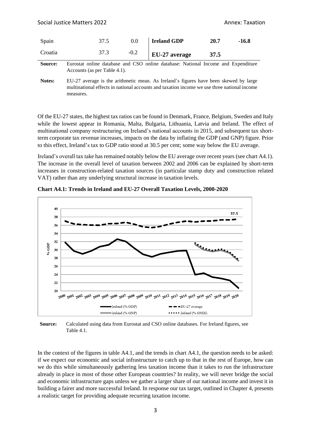| Spain   | 37.5 | 0.0    | <b>Ireland GDP</b> | 20.7 | $-16.8$ |
|---------|------|--------|--------------------|------|---------|
| Croatia | 37.3 | $-0.2$ | EU-27 average      | 37.5 |         |

**Source:** Eurostat online database and CSO online database: National Income and Expenditure Accounts (as per Table 4.1).

Notes: EU-27 average is the arithmetic mean. As Ireland's figures have been skewed by large multinational effects in national accounts and taxation income we use three national income measures.

Of the EU-27 states, the highest tax ratios can be found in Denmark, France, Belgium, Sweden and Italy while the lowest appear in Romania, Malta, Bulgaria, Lithuania, Latvia and Ireland. The effect of multinational company restructuring on Ireland's national accounts in 2015, and subsequent tax shortterm corporate tax revenue increases, impacts on the data by inflating the GDP (and GNP) figure. Prior to this effect, Ireland's tax to GDP ratio stood at 30.5 per cent; some way below the EU average.

Ireland's overall tax take has remained notably below the EU average over recent years (see chart A4.1). The increase in the overall level of taxation between 2002 and 2006 can be explained by short-term increases in construction-related taxation sources (in particular stamp duty and construction related VAT) rather than any underlying structural increase in taxation levels.



**Chart A4.1: Trends in Ireland and EU-27 Overall Taxation Levels, 2000-2020**

**Source:** Calculated using data from Eurostat and CSO online databases. For Ireland figures, see Table 4.1.

In the context of the figures in table A4.1, and the trends in chart A4.1, the question needs to be asked: if we expect our economic and social infrastructure to catch up to that in the rest of Europe, how can we do this while simultaneously gathering less taxation income than it takes to run the infrastructure already in place in most of those other European countries? In reality, we will never bridge the social and economic infrastructure gaps unless we gather a larger share of our national income and invest it in building a fairer and more successful Ireland. In response our tax target, outlined in Chapter 4, presents a realistic target for providing adequate recurring taxation income.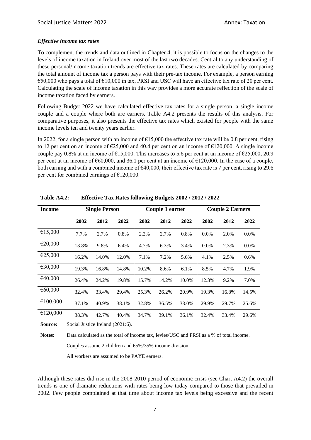#### *Effective income tax rates*

To complement the trends and data outlined in Chapter 4, it is possible to focus on the changes to the levels of income taxation in Ireland over most of the last two decades. Central to any understanding of these personal/income taxation trends are effective tax rates. These rates are calculated by comparing the total amount of income tax a person pays with their pre-tax income. For example, a person earning  $\epsilon$ 50,000 who pays a total of  $\epsilon$ 10,000 in tax, PRSI and USC will have an effective tax rate of 20 per cent. Calculating the scale of income taxation in this way provides a more accurate reflection of the scale of income taxation faced by earners.

Following Budget 2022 we have calculated effective tax rates for a single person, a single income couple and a couple where both are earners. Table A4.2 presents the results of this analysis. For comparative purposes, it also presents the effective tax rates which existed for people with the same income levels ten and twenty years earlier.

In 2022, for a single person with an income of  $\epsilon$ 15,000 the effective tax rate will be 0.8 per cent, rising to 12 per cent on an income of  $\epsilon$ 25,000 and 40.4 per cent on an income of  $\epsilon$ 120,000. A single income couple pay 0.8% at an income of  $\epsilon$ 15,000. This increases to 5.6 per cent at an income of  $\epsilon$ 25,000, 20.9 per cent at an income of €60,000, and 36.1 per cent at an income of €120,000. In the case of a couple, both earning and with a combined income of  $\epsilon$ 40,000, their effective tax rate is 7 per cent, rising to 29.6 per cent for combined earnings of €120,000.

| Income   | <b>Single Person</b> |       | Couple 1 earner |       |       | <b>Couple 2 Earners</b> |         |       |         |
|----------|----------------------|-------|-----------------|-------|-------|-------------------------|---------|-------|---------|
|          | 2002                 | 2012  | 2022            | 2002  | 2012  | 2022                    | 2002    | 2012  | 2022    |
| €15,000  | 7.7%                 | 2.7%  | 0.8%            | 2.2%  | 2.7%  | 0.8%                    | $0.0\%$ | 2.0%  | $0.0\%$ |
| €20,000  | 13.8%                | 9.8%  | 6.4%            | 4.7%  | 6.3%  | 3.4%                    | $0.0\%$ | 2.3%  | $0.0\%$ |
| €25,000  | 16.2%                | 14.0% | 12.0%           | 7.1%  | 7.2%  | 5.6%                    | 4.1%    | 2.5%  | 0.6%    |
| €30,000  | 19.3%                | 16.8% | 14.8%           | 10.2% | 8.6%  | 6.1%                    | 8.5%    | 4.7%  | 1.9%    |
| €40,000  | 26.4%                | 24.2% | 19.8%           | 15.7% | 14.2% | 10.0%                   | 12.3%   | 9.2%  | 7.0%    |
| €60,000  | 32.4%                | 33.4% | 29.4%           | 25.3% | 26.2% | 20.9%                   | 19.3%   | 16.8% | 14.5%   |
| €100,000 | 37.1%                | 40.9% | 38.1%           | 32.8% | 36.5% | 33.0%                   | 29.9%   | 29.7% | 25.6%   |
| €120,000 | 38.3%                | 42.7% | 40.4%           | 34.7% | 39.1% | 36.1%                   | 32.4%   | 33.4% | 29.6%   |

**Table A4.2: Effective Tax Rates following Budgets 2002 / 2012 / 2022**

**Source:** Social Justice Ireland (2021:6).

**Notes:** Data calculated as the total of income tax, levies/USC and PRSI as a % of total income.

Couples assume 2 children and 65%/35% income division.

All workers are assumed to be PAYE earners.

Although these rates did rise in the 2008-2010 period of economic crisis (see Chart A4.2) the overall trends is one of dramatic reductions with rates being low today compared to those that prevailed in 2002. Few people complained at that time about income tax levels being excessive and the recent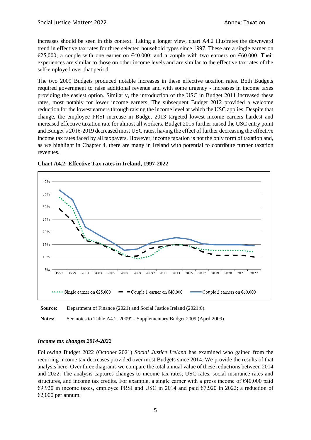increases should be seen in this context. Taking a longer view, chart A4.2 illustrates the downward trend in effective tax rates for three selected household types since 1997. These are a single earner on  $€25,000$ ; a couple with one earner on  $€40,000$ ; and a couple with two earners on  $€60,000$ . Their experiences are similar to those on other income levels and are similar to the effective tax rates of the self-employed over that period.

The two 2009 Budgets produced notable increases in these effective taxation rates. Both Budgets required government to raise additional revenue and with some urgency - increases in income taxes providing the easiest option. Similarly, the introduction of the USC in Budget 2011 increased these rates, most notably for lower income earners. The subsequent Budget 2012 provided a welcome reduction for the lowest earners through raising the income level at which the USC applies. Despite that change, the employee PRSI increase in Budget 2013 targeted lowest income earners hardest and increased effective taxation rate for almost all workers. Budget 2015 further raised the USC entry point and Budget's 2016-2019 decreased most USC rates, having the effect of further decreasing the effective income tax rates faced by all taxpayers. However, income taxation is not the only form of taxation and, as we highlight in Chapter 4, there are many in Ireland with potential to contribute further taxation revenues.



**Chart A4.2: Effective Tax rates in Ireland, 1997-2022**

**Source:** Department of Finance (2021) and Social Justice Ireland (2021:6).

Notes: See notes to Table A4.2. 2009\*= Supplementary Budget 2009 (April 2009).

#### *Income tax changes 2014-2022*

Following Budget 2022 (October 2021) *Social Justice Ireland* has examined who gained from the recurring income tax decreases provided over most Budgets since 2014. We provide the results of that analysis here. Over three diagrams we compare the total annual value of these reductions between 2014 and 2022. The analysis captures changes to income tax rates, USC rates, social insurance rates and structures, and income tax credits. For example, a single earner with a gross income of  $\epsilon$ 40,000 paid €9,920 in income taxes, employee PRSI and USC in 2014 and paid  $€7,920$  in 2022; a reduction of €2,000 per annum.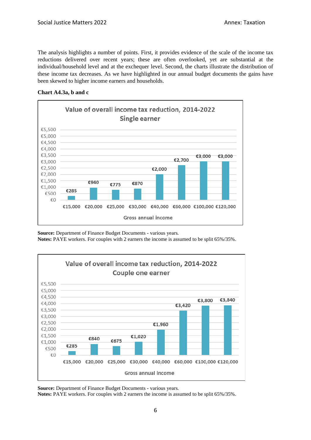The analysis highlights a number of points. First, it provides evidence of the scale of the income tax reductions delivered over recent years; these are often overlooked, yet are substantial at the individual/household level and at the exchequer level. Second, the charts illustrate the distribution of these income tax decreases. As we have highlighted in our annual budget documents the gains have been skewed to higher income earners and households.

**Chart A4.3a, b and c**



**Source:** Department of Finance Budget Documents - various years*.*

**Notes:** PAYE workers. For couples with 2 earners the income is assumed to be split 65%/35%.



**Source:** Department of Finance Budget Documents - various years*.*

**Notes:** PAYE workers. For couples with 2 earners the income is assumed to be split 65%/35%.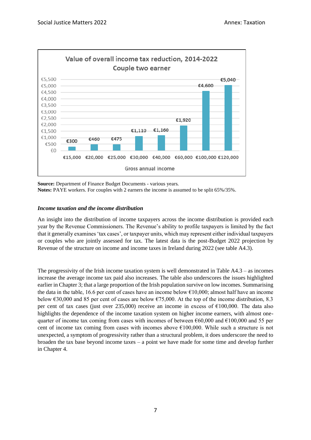

**Source:** Department of Finance Budget Documents - various years*.*

**Notes:** PAYE workers. For couples with 2 earners the income is assumed to be split 65%/35%.

#### *Income taxation and the income distribution*

An insight into the distribution of income taxpayers across the income distribution is provided each year by the Revenue Commissioners. The Revenue's ability to profile taxpayers is limited by the fact that it generally examines 'tax cases', or taxpayer units, which may represent either individual taxpayers or couples who are jointly assessed for tax. The latest data is the post-Budget 2022 projection by Revenue of the structure on income and income taxes in Ireland during 2022 (see table A4.3).

The progressivity of the Irish income taxation system is well demonstrated in Table A4.3 – as incomes increase the average income tax paid also increases. The table also underscores the issues highlighted earlier in Chapter 3; that a large proportion of the Irish population survive on low incomes. Summarising the data in the table, 16.6 per cent of cases have an income below  $\epsilon$ 10,000; almost half have an income below  $\epsilon$ 30,000 and 85 per cent of cases are below  $\epsilon$ 75,000. At the top of the income distribution, 8.3 per cent of tax cases (just over 235,000) receive an income in excess of  $\epsilon$ 100,000. The data also highlights the dependence of the income taxation system on higher income earners, with almost onequarter of income tax coming from cases with incomes of between  $\epsilon$ 60,000 and  $\epsilon$ 100,000 and 55 per cent of income tax coming from cases with incomes above  $\epsilon$ 100,000. While such a structure is not unexpected, a symptom of progressivity rather than a structural problem, it does underscore the need to broaden the tax base beyond income taxes – a point we have made for some time and develop further in Chapter 4.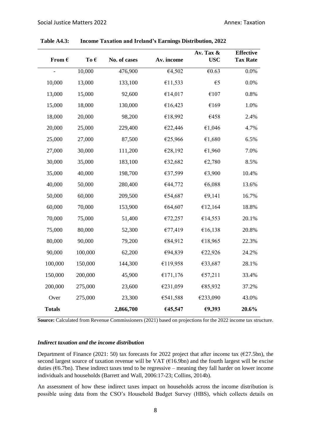| From $\epsilon$ | To€     | No. of cases | Av. income | Av. Tax &<br><b>USC</b> | <b>Effective</b><br><b>Tax Rate</b> |
|-----------------|---------|--------------|------------|-------------------------|-------------------------------------|
|                 | 10,000  | 476,900      | €4,502     | €0.63                   | 0.0%                                |
| 10,000          | 13,000  | 133,100      | €11,533    | $\epsilon$ <sub>5</sub> | 0.0%                                |
| 13,000          | 15,000  | 92,600       | €14,017    | €107                    | 0.8%                                |
| 15,000          | 18,000  | 130,000      | €16,423    | €169                    | 1.0%                                |
| 18,000          | 20,000  | 98,200       | €18,992    | €458                    | 2.4%                                |
| 20,000          | 25,000  | 229,400      | €22,446    | €1,046                  | 4.7%                                |
| 25,000          | 27,000  | 87,500       | €25,966    | €1,680                  | 6.5%                                |
| 27,000          | 30,000  | 111,200      | €28,192    | €1,960                  | 7.0%                                |
| 30,000          | 35,000  | 183,100      | €32,682    | €2,780                  | 8.5%                                |
| 35,000          | 40,000  | 198,700      | €37,599    | €3,900                  | 10.4%                               |
| 40,000          | 50,000  | 280,400      | €44,772    | €6,088                  | 13.6%                               |
| 50,000          | 60,000  | 209,500      | €54,687    | €9,141                  | 16.7%                               |
| 60,000          | 70,000  | 153,900      | €64,607    | €12,164                 | 18.8%                               |
| 70,000          | 75,000  | 51,400       | €72,257    | €14,553                 | 20.1%                               |
| 75,000          | 80,000  | 52,300       | €77,419    | €16,138                 | 20.8%                               |
| 80,000          | 90,000  | 79,200       | €84,912    | €18,965                 | 22.3%                               |
| 90,000          | 100,000 | 62,200       | €94,839    | €22,926                 | 24.2%                               |
| 100,000         | 150,000 | 144,300      | €119,958   | €33,687                 | 28.1%                               |
| 150,000         | 200,000 | 45,900       | €171,176   | €57,211                 | 33.4%                               |
| 200,000         | 275,000 | 23,600       | €231,059   | €85,932                 | 37.2%                               |
| Over            | 275,000 | 23,300       | €541,588   | €233,090                | 43.0%                               |
| <b>Totals</b>   |         | 2,866,700    | €45,547    | €9,393                  | 20.6%                               |

**Table A4.3: Income Taxation and Ireland's Earnings Distribution, 2022**

**Source:** Calculated from Revenue Commissioners (2021) based on projections for the 2022 income tax structure.

#### *Indirect taxation and the income distribution*

Department of Finance (2021: 50) tax forecasts for 2022 project that after income tax ( $\epsilon$ 27.5bn), the second largest source of taxation revenue will be VAT (€16.9bn) and the fourth largest will be excise duties ( $66.7$ bn). These indirect taxes tend to be regressive – meaning they fall harder on lower income individuals and households (Barrett and Wall, 2006:17-23; Collins, 2014b).

An assessment of how these indirect taxes impact on households across the income distribution is possible using data from the CSO's Household Budget Survey (HBS), which collects details on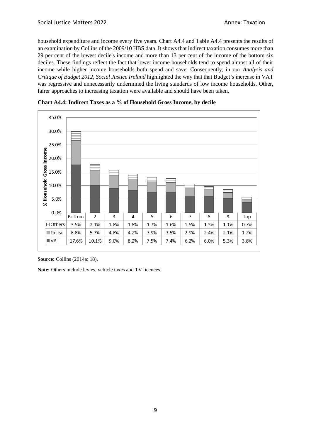household expenditure and income every five years. Chart A4.4 and Table A4.4 presents the results of an examination by Collins of the 2009/10 HBS data. It shows that indirect taxation consumes more than 29 per cent of the lowest decile's income and more than 13 per cent of the income of the bottom six deciles. These findings reflect the fact that lower income households tend to spend almost all of their income while higher income households both spend and save. Consequently, in our *Analysis and Critique of Budget 2012*, *Social Justice Ireland* highlighted the way that that Budget's increase in VAT was regressive and unnecessarily undermined the living standards of low income households. Other, fairer approaches to increasing taxation were available and should have been taken.



**Chart A4.4: Indirect Taxes as a % of Household Gross Income, by decile**

**Source:** Collins (2014a: 18).

**Note:** Others include levies, vehicle taxes and TV licences.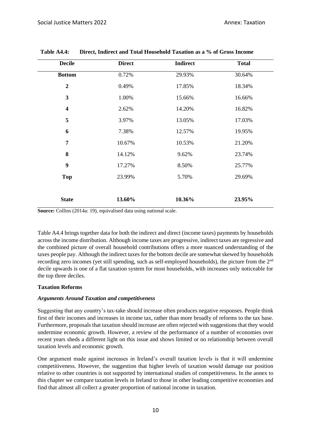| <b>Decile</b>           | <b>Direct</b> | <b>Indirect</b> | <b>Total</b> |
|-------------------------|---------------|-----------------|--------------|
| <b>Bottom</b>           | 0.72%         | 29.93%          | 30.64%       |
| $\boldsymbol{2}$        | 0.49%         | 17.85%          | 18.34%       |
| 3                       | 1.00%         | 15.66%          | 16.66%       |
| $\overline{\mathbf{4}}$ | 2.62%         | 14.20%          | 16.82%       |
| 5                       | 3.97%         | 13.05%          | 17.03%       |
| 6                       | 7.38%         | 12.57%          | 19.95%       |
| 7                       | 10.67%        | 10.53%          | 21.20%       |
| 8                       | 14.12%        | 9.62%           | 23.74%       |
| 9                       | 17.27%        | 8.50%           | 25.77%       |
| <b>Top</b>              | 23.99%        | 5.70%           | 29.69%       |
| <b>State</b>            | 13.60%        | 10.36%          | 23.95%       |

**Table A4.4: Direct, Indirect and Total Household Taxation as a % of Gross Income**

**Source:** Collins (2014a: 19), equivalised data using national scale.

Table A4.4 brings together data for both the indirect and direct (income taxes) payments by households across the income distribution. Although income taxes are progressive, indirect taxes are regressive and the combined picture of overall household contributions offers a more nuanced understanding of the taxes people pay. Although the indirect taxes for the bottom decile are somewhat skewed by households recording zero incomes (yet still spending, such as self-employed households), the picture from the 2nd decile upwards is one of a flat taxation system for most households, with increases only noticeable for the top three deciles.

#### **Taxation Reforms**

#### *Arguments Around Taxation and competitiveness*

Suggesting that any country's tax-take should increase often produces negative responses. People think first of their incomes and increases in income tax, rather than more broadly of reforms to the tax base. Furthermore, proposals that taxation should increase are often rejected with suggestions that they would undermine economic growth. However, a review of the performance of a number of economies over recent years sheds a different light on this issue and shows limited or no relationship between overall taxation levels and economic growth.

One argument made against increases in Ireland's overall taxation levels is that it will undermine competitiveness. However, the suggestion that higher levels of taxation would damage our position relative to other countries is not supported by international studies of competitiveness. In the annex to this chapter we compare taxation levels in Ireland to those in other leading competitive economies and find that almost all collect a greater proportion of national income in taxation.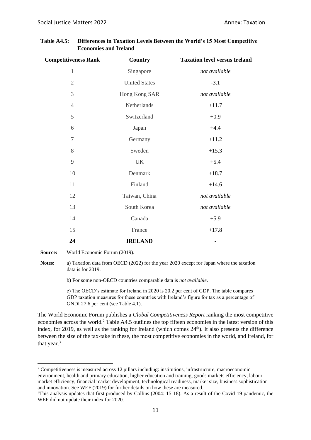| <b>Competitiveness Rank</b> | <b>Country</b>       | <b>Taxation level versus Ireland</b> |  |
|-----------------------------|----------------------|--------------------------------------|--|
| $\mathbf{1}$                | Singapore            | not available                        |  |
| $\mathfrak{2}$              | <b>United States</b> | $-3.1$                               |  |
| 3                           | Hong Kong SAR        | not available                        |  |
| $\overline{4}$              | Netherlands          | $+11.7$                              |  |
| 5                           | Switzerland          | $+0.9$                               |  |
| 6                           | Japan                | $+4.4$                               |  |
| $\tau$                      | Germany              | $+11.2$                              |  |
| 8                           | Sweden               | $+15.3$                              |  |
| 9                           | UK                   | $+5.4$                               |  |
| 10                          | Denmark              | $+18.7$                              |  |
| 11                          | Finland              | $+14.6$                              |  |
| 12                          | Taiwan, China        | not available                        |  |
| 13                          | South Korea          | not available                        |  |
| 14                          | Canada               | $+5.9$                               |  |
| 15                          | France               | $+17.8$                              |  |
| 24                          | <b>IRELAND</b>       |                                      |  |

#### **Table A4.5: Differences in Taxation Levels Between the World's 15 Most Competitive Economies and Ireland**

**Source:** World Economic Forum (2019).

**Notes:** a) Taxation data from OECD (2022) for the year 2020 except for Japan where the taxation data is for 2019.

b) For some non-OECD countries comparable data is *not available*.

c) The OECD's estimate for Ireland in 2020 is 20.2 per cent of GDP. The table compares GDP taxation measures for these countries with Ireland's figure for tax as a percentage of GNDI 27.6 per cent (see Table 4.1).

The World Economic Forum publishes a *Global Competitiveness Report* ranking the most competitive economies across the world.<sup>2</sup> Table A4.5 outlines the top fifteen economies in the latest version of this index, for 2019, as well as the ranking for Ireland (which comes  $24<sup>th</sup>$ ). It also presents the difference between the size of the tax-take in these, the most competitive economies in the world, and Ireland, for that year. $3$ 

<sup>2</sup> Competitiveness is measured across 12 pillars including: institutions, infrastructure, macroeconomic environment, health and primary education, higher education and training, goods markets efficiency, labour market efficiency, financial market development, technological readiness, market size, business sophistication and innovation. See WEF (2019) for further details on how these are measured.

 $3$ This analysis updates that first produced by Collins (2004: 15-18). As a result of the Covid-19 pandemic, the WEF did not update their index for 2020.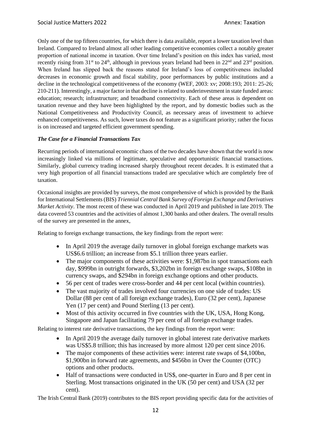Only one of the top fifteen countries, for which there is data available, report a lower taxation level than Ireland. Compared to Ireland almost all other leading competitive economies collect a notably greater proportion of national income in taxation. Over time Ireland's position on this index has varied, most recently rising from  $31<sup>st</sup>$  to  $24<sup>th</sup>$ , although in previous years Ireland had been in  $22<sup>nd</sup>$  and  $23<sup>rd</sup>$  position. When Ireland has slipped back the reasons stated for Ireland's loss of competitiveness included decreases in economic growth and fiscal stability, poor performances by public institutions and a decline in the technological competitiveness of the economy (WEF, 2003: xv; 2008:193; 2011: 25-26; 210-211). Interestingly, a major factor in that decline is related to underinvestment in state funded areas: education; research; infrastructure; and broadband connectivity. Each of these areas is dependent on taxation revenue and they have been highlighted by the report, and by domestic bodies such as the National Competitiveness and Productivity Council, as necessary areas of investment to achieve enhanced competitiveness. As such, lower taxes do not feature as a significant priority; rather the focus is on increased and targeted efficient government spending.

# *The Case for a Financial Transactions Tax*

Recurring periods of international economic chaos of the two decades have shown that the world is now increasingly linked via millions of legitimate, speculative and opportunistic financial transactions. Similarly, global currency trading increased sharply throughout recent decades. It is estimated that a very high proportion of all financial transactions traded are speculative which are completely free of taxation.

Occasional insights are provided by surveys, the most comprehensive of which is provided by the Bank for International Settlements (BIS) *Triennial Central Bank Survey of Foreign Exchange and Derivatives Market Activity*. The most recent of these was conducted in April 2019 and published in late 2019. The data covered 53 countries and the activities of almost 1,300 banks and other dealers. The overall results of the survey are presented in the annex,

Relating to foreign exchange transactions, the key findings from the report were:

- In April 2019 the average daily turnover in global foreign exchange markets was US\$6.6 trillion; an increase from \$5.1 trillion three years earlier.
- The major components of these activities were: \$1,987bn in spot transactions each day, \$999bn in outright forwards, \$3,202bn in foreign exchange swaps, \$108bn in currency swaps, and \$294bn in foreign exchange options and other products.
- 56 per cent of trades were cross-border and 44 per cent local (within countries).
- The vast majority of trades involved four currencies on one side of trades: US Dollar (88 per cent of all foreign exchange trades), Euro (32 per cent), Japanese Yen (17 per cent) and Pound Sterling (13 per cent).
- Most of this activity occurred in five countries with the UK, USA, Hong Kong, Singapore and Japan facilitating 79 per cent of all foreign exchange trades.

Relating to interest rate derivative transactions, the key findings from the report were:

- In April 2019 the average daily turnover in global interest rate derivative markets was US\$5.8 trillion; this has increased by more almost 120 per cent since 2016.
- The major components of these activities were: interest rate swaps of \$4,100 bn. \$1,900bn in forward rate agreements, and \$456bn in Over the Counter (OTC) options and other products.
- Half of transactions were conducted in US\$, one-quarter in Euro and 8 per cent in Sterling. Most transactions originated in the UK (50 per cent) and USA (32 per cent).

The Irish Central Bank (2019) contributes to the BIS report providing specific data for the activities of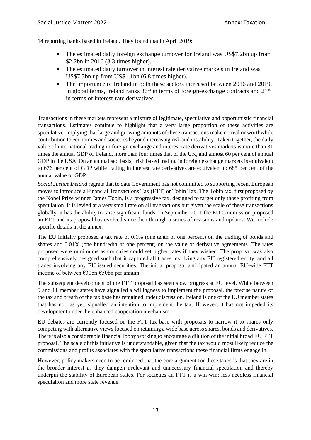14 reporting banks based in Ireland. They found that in April 2019:

- The estimated daily foreign exchange turnover for Ireland was US\$7.2bn up from \$2.2bn in 2016 (3.3 times higher).
- The estimated daily turnover in interest rate derivative markets in Ireland was US\$7.3bn up from US\$1.1bn (6.8 times higher).
- The importance of Ireland in both these sectors increased between 2016 and 2019. In global terms, Ireland ranks  $36<sup>th</sup>$  in terms of foreign-exchange contracts and  $21<sup>st</sup>$ in terms of interest-rate derivatives.

Transactions in these markets represent a mixture of legitimate, speculative and opportunistic financial transactions. Estimates continue to highlight that a very large proportion of these activities are speculative, implying that large and growing amounts of these transactions make no real or worthwhile contribution to economies and societies beyond increasing risk and instability. Taken together, the daily value of international trading in foreign exchange and interest rate derivatives markets is more than 31 times the annual GDP of Ireland, more than four times that of the UK, and almost 60 per cent of annual GDP in the USA. On an annualised basis, Irish based trading in foreign exchange markets is equivalent to 676 per cent of GDP while trading in interest rate derivatives are equivalent to 685 per cent of the annual value of GDP.

*Social Justice Ireland* regrets that to date Government has not committed to supporting recent European moves to introduce a Financial Transactions Tax (FTT) or Tobin Tax. The Tobin tax, first proposed by the Nobel Prize winner James Tobin, is a progressive tax, designed to target only those profiting from speculation. It is levied at a very small rate on all transactions but given the scale of these transactions globally, it has the ability to raise significant funds. In September 2011 the EU Commission proposed an FTT and its proposal has evolved since then through a series of revisions and updates. We include specific details in the annex.

The EU initially proposed a tax rate of 0.1% (one tenth of one percent) on the trading of bonds and shares and 0.01% (one hundredth of one percent) on the value of derivative agreements. The rates proposed were minimums as countries could set higher rates if they wished. The proposal was also comprehensively designed such that it captured all trades involving any EU registered entity, and all trades involving any EU issued securities. The initial proposal anticipated an annual EU-wide FTT income of between €30bn-€50bn per annum.

The subsequent development of the FTT proposal has seen slow progress at EU level. While between 9 and 11 member states have signalled a willingness to implement the proposal, the precise nature of the tax and breath of the tax base has remained under discussion. Ireland is one of the EU member states that has not, as yet, signalled an intention to implement the tax. However, it has not impeded its development under the enhanced cooperation mechanism.

EU debates are currently focused on the FTT tax base with proposals to narrow it to shares only competing with alternative views focused on retaining a wide base across shares, bonds and derivatives. There is also a considerable financial lobby working to encourage a dilution of the initial broad EU FTT proposal. The scale of this initiative is understandable, given that the tax would most likely reduce the commissions and profits associates with the speculative transactions these financial firms engage in.

However, policy makers need to be reminded that the core argument for these taxes is that they are in the broader interest as they dampen irrelevant and unnecessary financial speculation and thereby underpin the stability of European states. For societies an FTT is a win-win; less needless financial speculation and more state revenue.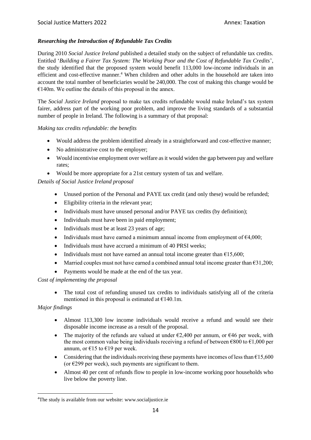# *Researching the Introduction of Refundable Tax Credits*

During 2010 *Social Justice Ireland* published a detailed study on the subject of refundable tax credits. Entitled '*Building a Fairer Tax System: The Working Poor and the Cost of Refundable Tax Credits*', the study identified that the proposed system would benefit 113,000 low-income individuals in an efficient and cost-effective manner.<sup>4</sup> When children and other adults in the household are taken into account the total number of beneficiaries would be 240,000. The cost of making this change would be  $€140m$ . We outline the details of this proposal in the annex.

The *Social Justice Ireland* proposal to make tax credits refundable would make Ireland's tax system fairer, address part of the working poor problem, and improve the living standards of a substantial number of people in Ireland. The following is a summary of that proposal:

#### *Making tax credits refundable: the benefits*

- Would address the problem identified already in a straightforward and cost-effective manner;
- No administrative cost to the employer:
- Would incentivise employment over welfare as it would widen the gap between pay and welfare rates;
- Would be more appropriate for a 21st century system of tax and welfare.

# *Details of Social Justice Ireland proposal*

- Unused portion of the Personal and PAYE tax credit (and only these) would be refunded;
- Eligibility criteria in the relevant year;
- Individuals must have unused personal and/or PAYE tax credits (by definition);
- Individuals must have been in paid employment:
- Individuals must be at least 23 years of age:
- Individuals must have earned a minimum annual income from employment of  $\epsilon$ 4,000;
- Individuals must have accrued a minimum of 40 PRSI weeks;
- Individuals must not have earned an annual total income greater than  $\epsilon$ 15,600;
- Married couples must not have earned a combined annual total income greater than  $\epsilon$ 31,200;
- Payments would be made at the end of the tax year.

# *Cost of implementing the proposal*

• The total cost of refunding unused tax credits to individuals satisfying all of the criteria mentioned in this proposal is estimated at  $£140.1m$ .

# *Major findings*

- Almost 113,300 low income individuals would receive a refund and would see their disposable income increase as a result of the proposal.
- The majority of the refunds are valued at under  $\epsilon$ 2,400 per annum, or  $\epsilon$ 46 per week, with the most common value being individuals receiving a refund of between  $\epsilon$ 800 to  $\epsilon$ 1.000 per annum, or  $\epsilon$ 15 to  $\epsilon$ 19 per week.
- Considering that the individuals receiving these payments have incomes of less than  $\epsilon$ 15,600 (or  $\epsilon$ 299 per week), such payments are significant to them.
- Almost 40 per cent of refunds flow to people in low-income working poor households who live below the poverty line.

<sup>4</sup>The study is available from our website: www.socialjustice.ie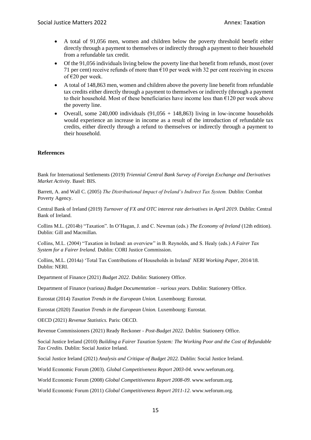- A total of 91,056 men, women and children below the poverty threshold benefit either directly through a payment to themselves or indirectly through a payment to their household from a refundable tax credit.
- Of the 91,056 individuals living below the poverty line that benefit from refunds, most (over 71 per cent) receive refunds of more than  $\epsilon$ 10 per week with 32 per cent receiving in excess of €20 per week.
- A total of 148,863 men, women and children above the poverty line benefit from refundable tax credits either directly through a payment to themselves or indirectly (through a payment to their household. Most of these beneficiaries have income less than  $\epsilon$ 120 per week above the poverty line.
- Overall, some  $240,000$  individuals  $(91,056 + 148,863)$  living in low-income households would experience an increase in income as a result of the introduction of refundable tax credits, either directly through a refund to themselves or indirectly through a payment to their household.

#### **References**

Bank for International Settlements (2019) *Triennial Central Bank Survey of Foreign Exchange and Derivatives Market Activity*. Basel: BIS.

Barrett, A. and Wall C. (2005) *The Distributional Impact of Ireland's Indirect Tax System.* Dublin: Combat Poverty Agency.

Central Bank of Ireland (2019) *Turnover of FX and OTC interest rate derivatives in April 2019*. Dublin: Central Bank of Ireland.

Collins M.L. (2014b) "Taxation". In O'Hagan, J. and C. Newman (eds.) *The Economy of Ireland* (12th edition). Dublin: Gill and Macmillan.

Collins, M.L. (2004) "Taxation in Ireland: an overview" in B. Reynolds, and S. Healy (eds.) *A Fairer Tax System for a Fairer Ireland.* Dublin: CORI Justice Commission.

Collins, M.L. (2014a) 'Total Tax Contributions of Households in Ireland' *NERI Working Paper*, 2014/18. Dublin: NERI.

Department of Finance (2021) *Budget 2022*. Dublin: Stationery Office.

Department of Finance (various*) Budget Documentation – various years*. Dublin: Stationery Office.

Eurostat (2014) *Taxation Trends in the European Union.* Luxembourg: Eurostat.

Eurostat (2020) *Taxation Trends in the European Union.* Luxembourg: Eurostat.

OECD (2021) *Revenue Statistics.* Paris: OECD.

Revenue Commissioners (2021) Ready Reckoner - *Post-Budget 2022*. Dublin: Stationery Office.

Social Justice Ireland (2010) *Building a Fairer Taxation System: The Working Poor and the Cost of Refundable Tax Credits.* Dublin: Social Justice Ireland.

Social Justice Ireland (2021) *Analysis and Critique of Budget 2022.* Dublin: Social Justice Ireland.

World Economic Forum (2003). *Global Competitiveness Report 2003-04*. www.weforum.org.

World Economic Forum (2008) *Global Competitiveness Report 2008-09*. www.weforum.org.

World Economic Forum (2011) *Global Competitiveness Report 2011-12*. www.weforum.org.